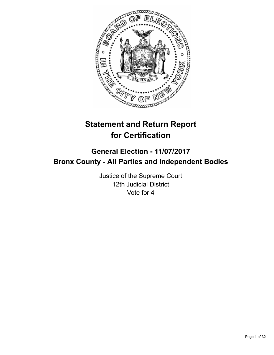

# **Statement and Return Report for Certification**

## **General Election - 11/07/2017 Bronx County - All Parties and Independent Bodies**

Justice of the Supreme Court 12th Judicial District Vote for 4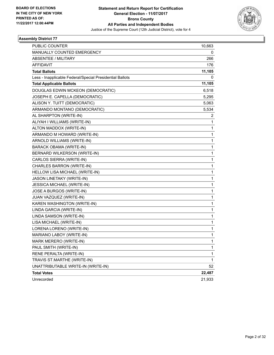

| PUBLIC COUNTER                                           | 10,663 |
|----------------------------------------------------------|--------|
| MANUALLY COUNTED EMERGENCY                               | 0      |
| <b>ABSENTEE / MILITARY</b>                               | 266    |
| <b>AFFIDAVIT</b>                                         | 176    |
| <b>Total Ballots</b>                                     | 11,105 |
| Less - Inapplicable Federal/Special Presidential Ballots | 0      |
| <b>Total Applicable Ballots</b>                          | 11,105 |
| DOUGLAS EDWIN MCKEON (DEMOCRATIC)                        | 6,518  |
| JOSEPH E. CAPELLA (DEMOCRATIC)                           | 5,295  |
| ALISON Y. TUITT (DEMOCRATIC)                             | 5,063  |
| ARMANDO MONTANO (DEMOCRATIC)                             | 5,534  |
| AL SHARPTON (WRITE-IN)                                   | 2      |
| ALIYAH I WILLIAMS (WRITE-IN)                             | 1      |
| ALTON MADDOX (WRITE-IN)                                  | 1      |
| ARMANDO M HOWARD (WRITE-IN)                              | 1      |
| ARNOLD WILLIAMS (WRITE-IN)                               | 1      |
| BARACK OBAMA (WRITE-IN)                                  | 1      |
| BERNARD WILKERSON (WRITE-IN)                             | 1      |
| CARLOS SIERRA (WRITE-IN)                                 | 1      |
| CHARLES BARRON (WRITE-IN)                                | 1      |
| HELLOW LISA MICHAEL (WRITE-IN)                           | 1      |
| JASON LINETAKY (WRITE-IN)                                | 1      |
| <b>JESSICA MICHAEL (WRITE-IN)</b>                        | 1      |
| JOSE A BURGOS (WRITE-IN)                                 | 1      |
| JUAN VAZQUEZ (WRITE-IN)                                  | 1      |
| KAREN WASHINGTON (WRITE-IN)                              | 1      |
| LINDA GARCIA (WRITE-IN)                                  | 1      |
| LINDA SAMSON (WRITE-IN)                                  | 1      |
| LISA MICHAEL (WRITE-IN)                                  | 1      |
| LORENA LORENO (WRITE-IN)                                 | 1      |
| MARIANO LABOY (WRITE-IN)                                 | 1      |
| MARK MERERO (WRITE-IN)                                   | 1      |
| PAUL SMITH (WRITE-IN)                                    | 1      |
| RENE PERALTA (WRITE-IN)                                  | 1      |
| TRAVIS ST.MARTHE (WRITE-IN)                              | 1      |
| UNATTRIBUTABLE WRITE-IN (WRITE-IN)                       | 52     |
| <b>Total Votes</b>                                       | 22,487 |
| Unrecorded                                               | 21,933 |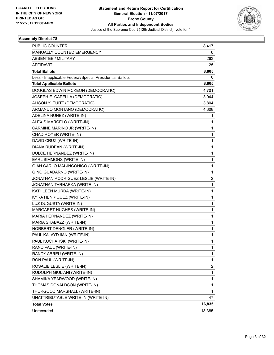

| <b>PUBLIC COUNTER</b>                                    | 8,417                   |
|----------------------------------------------------------|-------------------------|
| MANUALLY COUNTED EMERGENCY                               | 0                       |
| ABSENTEE / MILITARY                                      | 263                     |
| AFFIDAVIT                                                | 125                     |
| <b>Total Ballots</b>                                     | 8,805                   |
| Less - Inapplicable Federal/Special Presidential Ballots | 0                       |
| <b>Total Applicable Ballots</b>                          | 8,805                   |
| DOUGLAS EDWIN MCKEON (DEMOCRATIC)                        | 4,701                   |
| JOSEPH E. CAPELLA (DEMOCRATIC)                           | 3,944                   |
| ALISON Y. TUITT (DEMOCRATIC)                             | 3,804                   |
| ARMANDO MONTANO (DEMOCRATIC)                             | 4,308                   |
| ADELINA NUNEZ (WRITE-IN)                                 | 1                       |
| ALEXIS MARCELO (WRITE-IN)                                | 1                       |
| CARMINE MARINO JR (WRITE-IN)                             | 1                       |
| CHAD ROYER (WRITE-IN)                                    | 1                       |
| DAVID CRUZ (WRITE-IN)                                    | 1                       |
| DIANA RUDEAN (WRITE-IN)                                  | 1                       |
| DULCE HERNANDEZ (WRITE-IN)                               | 1                       |
| EARL SIMMONS (WRITE-IN)                                  | 1                       |
| GIAN CARLO MALJNCONICO (WRITE-IN)                        | 1                       |
| GINO GUADARNO (WRITE-IN)                                 | $\mathbf{1}$            |
| JONATHAN RODRIGUEZ-LESLIE (WRITE-IN)                     | 2                       |
| JONATHAN TARHARKA (WRITE-IN)                             | 1                       |
| KATHLEEN MURDA (WRITE-IN)                                | 1                       |
| KYRA HENRIQUEZ (WRITE-IN)                                | 1                       |
| LUZ DUGUSTA (WRITE-IN)                                   | 1                       |
| MARGARET HUGHES (WRITE-IN)                               | 1                       |
| MARIA HERNANDEZ (WRITE-IN)                               | 1                       |
| MARIA SHABAZZ (WRITE-IN)                                 | 1                       |
| NORBERT DENGLER (WRITE-IN)                               | 1                       |
| PAUL KALAYDJIAN (WRITE-IN)                               | 1                       |
| PAUL KUCHARSKI (WRITE-IN)                                | 1                       |
| RAND PAUL (WRITE-IN)                                     | 1                       |
| RANDY ABREU (WRITE-IN)                                   | 1                       |
| RON PAUL (WRITE-IN)                                      | $\mathbf{1}$            |
| ROSALIE LESLIE (WRITE-IN)                                | $\overline{\mathbf{c}}$ |
| RUDOLPH GIULIANI (WRITE-IN)                              | $\mathbf{1}$            |
| SHAMIKA YEARWOOD (WRITE-IN)                              | $\mathbf{1}$            |
| THOMAS DONALDSON (WRITE-IN)                              | 1                       |
| THURGOOD MARSHALL (WRITE-IN)                             | $\mathbf{1}$            |
| UNATTRIBUTABLE WRITE-IN (WRITE-IN)                       | 47                      |
| <b>Total Votes</b>                                       | 16,835                  |
| Unrecorded                                               | 18,385                  |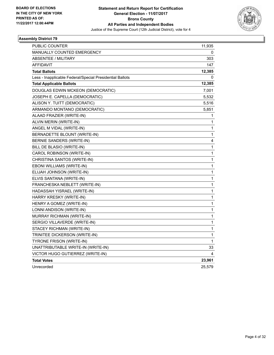

| <b>PUBLIC COUNTER</b>                                    | 11,935       |
|----------------------------------------------------------|--------------|
| <b>MANUALLY COUNTED EMERGENCY</b>                        | 0            |
| <b>ABSENTEE / MILITARY</b>                               | 303          |
| AFFIDAVIT                                                | 147          |
| <b>Total Ballots</b>                                     | 12,385       |
| Less - Inapplicable Federal/Special Presidential Ballots | 0            |
| <b>Total Applicable Ballots</b>                          | 12,385       |
| DOUGLAS EDWIN MCKEON (DEMOCRATIC)                        | 7,001        |
| JOSEPH E. CAPELLA (DEMOCRATIC)                           | 5,532        |
| ALISON Y. TUITT (DEMOCRATIC)                             | 5,516        |
| ARMANDO MONTANO (DEMOCRATIC)                             | 5,851        |
| ALAAD FRAZIER (WRITE-IN)                                 | 1            |
| ALVIN MERIN (WRITE-IN)                                   | 1            |
| ANGEL M VIDAL (WRITE-IN)                                 | 1            |
| BERNADETTE BLOUNT (WRITE-IN)                             | 1            |
| <b>BERNIE SANDERS (WRITE-IN)</b>                         | 4            |
| BILL DE BLASIO (WRITE-IN)                                | 1            |
| CAROL ROBINSON (WRITE-IN)                                | 1            |
| CHRISTINA SANTOS (WRITE-IN)                              | 1            |
| EBONI WILLIAMS (WRITE-IN)                                | 1            |
| ELIJAH JOHNSON (WRITE-IN)                                | 1            |
| ELVIS SANTANA (WRITE-IN)                                 | 1            |
| FRANCHESKA NEBLETT (WRITE-IN)                            | 1            |
| HADASSAH YISRAEL (WRITE-IN)                              | 1            |
| HARRY KRESKY (WRITE-IN)                                  | 1            |
| HENRY A GOMEZ (WRITE-IN)                                 | 1            |
| LONNI ANDISON (WRITE-IN)                                 | 1            |
| <b>MURRAY RICHMAN (WRITE-IN)</b>                         | $\mathbf{1}$ |
| SERGIO VILLAVERDE (WRITE-IN)                             | 1            |
| STACEY RICHMAN (WRITE-IN)                                | 1            |
| TRINITEE DICKERSON (WRITE-IN)                            | 1            |
| <b>TYRONE FRISON (WRITE-IN)</b>                          | 1            |
| UNATTRIBUTABLE WRITE-IN (WRITE-IN)                       | 33           |
| VICTOR HUGO GUTIERREZ (WRITE-IN)                         | 4            |
| <b>Total Votes</b>                                       | 23,961       |
| Unrecorded                                               | 25,579       |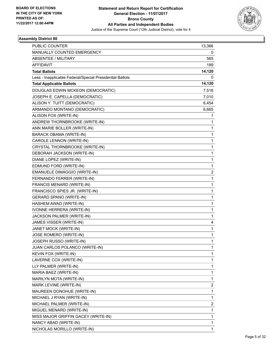

| <b>PUBLIC COUNTER</b>                                    | 13,366                  |
|----------------------------------------------------------|-------------------------|
| MANUALLY COUNTED EMERGENCY                               | 0                       |
| ABSENTEE / MILITARY                                      | 565                     |
| <b>AFFIDAVIT</b>                                         | 189                     |
| <b>Total Ballots</b>                                     | 14,120                  |
| Less - Inapplicable Federal/Special Presidential Ballots | 0                       |
| <b>Total Applicable Ballots</b>                          | 14,120                  |
| DOUGLAS EDWIN MCKEON (DEMOCRATIC)                        | 7,516                   |
| JOSEPH E. CAPELLA (DEMOCRATIC)                           | 7,010                   |
| ALISON Y. TUITT (DEMOCRATIC)                             | 6,454                   |
| ARMANDO MONTANO (DEMOCRATIC)                             | 6,665                   |
| ALISON FOX (WRITE-IN)                                    | 1                       |
| ANDREW THORNBROOKE (WRITE-IN)                            | 1                       |
| ANN MARIE BOLLER (WRITE-IN)                              | 1                       |
| BARACK OBAMA (WRITE-IN)                                  | 1                       |
| CAROLE LENNON (WRITE-IN)                                 | 1                       |
| CRYSTAL THORNBROOKE (WRITE-IN)                           | 1                       |
| DEBORAH JACKSON (WRITE-IN)                               | 1                       |
| DIANE LOPEZ (WRITE-IN)                                   | 1                       |
| EDMUND FORD (WRITE-IN)                                   | 1                       |
| EMANUELE DIMAGGIO (WRITE-IN)                             | $\overline{\mathbf{c}}$ |
| FERNANDO FERRER (WRITE-IN)                               | 1                       |
| FRANCIS MENARD (WRITE-IN)                                | 1                       |
| FRANCISCO SPIES JR. (WRITE-IN)                           | 1                       |
| <b>GERARD SPANO (WRITE-IN)</b>                           | 1                       |
| HASHEM AWAD (WRITE-IN)                                   | 1                       |
| IVONNE HERRERA (WRITE-IN)                                | 1                       |
| JACKSON PALMER (WRITE-IN)                                | 1                       |
| JAMES VISSER (WRITE-IN)                                  | 4                       |
| JANET MOCK (WRITE-IN)                                    | 1                       |
| JOSE ROMERO (WRITE-IN)                                   | 1                       |
| JOSEPH RUSSO (WRITE-IN)                                  | 1                       |
| JUAN CARLOS POLANCO (WRITE-IN)                           | 1                       |
| KEVIN FOX (WRITE-IN)                                     | 1                       |
| LAVERNE COX (WRITE-IN)                                   | 1                       |
| LLY PALMER (WRITE-IN)                                    | 1                       |
| MARIA BAEZ (WRITE-IN)                                    | 1                       |
| MARILYN MOTA (WRITE-IN)                                  | 1                       |
| MARK LEVINE (WRITE-IN)                                   | 2                       |
| MAUREEN DONOHUE (WRITE-IN)                               | 1                       |
| MICHAEL J RYAN (WRITE-IN)                                | 1                       |
| MICHAEL PALMER (WRITE-IN)                                | 2                       |
| MIGUEL MENARD (WRITE-IN)                                 | 1                       |
| MISS MAJOR GRIFFIN GACEY (WRITE-IN)                      | 1                       |
| NANCY ABAD (WRITE-IN)                                    | 1                       |
| NICHOLAS MORILLO (WRITE-IN)                              | 1                       |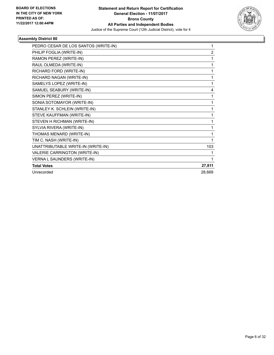

| PEDRO CESAR DE LOS SANTOS (WRITE-IN) | 1              |
|--------------------------------------|----------------|
| PHILIP FOGLIA (WRITE-IN)             | $\overline{2}$ |
| RAMON PEREZ (WRITE-IN)               | 1              |
| RAUL OLMEDA (WRITE-IN)               | 1              |
| RICHARD FORD (WRITE-IN)              | 1              |
| RICHARD NAGAN (WRITE-IN)             | 1              |
| SAMELYS LOPEZ (WRITE-IN)             | 1              |
| SAMUEL SEABURY (WRITE-IN)            | 4              |
| SIMON PEREZ (WRITE-IN)               | 1              |
| SONIA SOTOMAYOR (WRITE-IN)           | 1              |
| STANLEY K. SCHLEIN (WRITE-IN)        | 1              |
| STEVE KAUFFMAN (WRITE-IN)            | 1              |
| STEVEN H RICHMAN (WRITE-IN)          | 1              |
| SYLVIA RIVERA (WRITE-IN)             | 1              |
| THOMAS MENARD (WRITE-IN)             | 1              |
| TIM C. NASH (WRITE-IN)               | 1              |
| UNATTRIBUTABLE WRITE-IN (WRITE-IN)   | 103            |
| VALERIE CARRINGTON (WRITE-IN)        | 1              |
| VERNA L SAUNDERS (WRITE-IN)          | 1              |
| <b>Total Votes</b>                   | 27,811         |
| Unrecorded                           | 28,669         |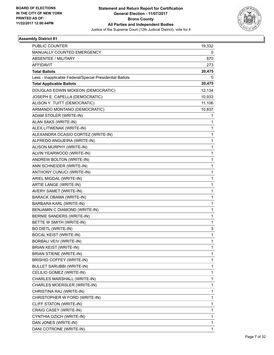

| <b>PUBLIC COUNTER</b>                                    | 19,332       |
|----------------------------------------------------------|--------------|
| MANUALLY COUNTED EMERGENCY                               | 0            |
| ABSENTEE / MILITARY                                      | 870          |
| <b>AFFIDAVIT</b>                                         | 273          |
| <b>Total Ballots</b>                                     | 20,475       |
| Less - Inapplicable Federal/Special Presidential Ballots | 0            |
| <b>Total Applicable Ballots</b>                          | 20,475       |
| DOUGLAS EDWIN MCKEON (DEMOCRATIC)                        | 12,134       |
| JOSEPH E. CAPELLA (DEMOCRATIC)                           | 10,933       |
| ALISON Y. TUITT (DEMOCRATIC)                             | 11,106       |
| ARMANDO MONTANO (DEMOCRATIC)                             | 10,837       |
| ADAM STOLER (WRITE-IN)                                   | 1            |
| ALAN SAKS (WRITE-IN)                                     | 1            |
| ALEX LITWENAK (WRITE-IN)                                 | $\mathbf{1}$ |
| ALEXANDRA OCASIO CORTEZ (WRITE-IN)                       | 1            |
| ALFREDO ANGUEIRA (WRITE-IN)                              | 1            |
| ALISON MURPHY (WRITE-IN)                                 | $\mathbf{1}$ |
| ALVIN YEARWOOD (WRITE-IN)                                | 1            |
| ANDREW BOLTON (WRITE-IN)                                 | 1            |
| ANN SCHNEIDER (WRITE-IN)                                 | $\mathbf{1}$ |
| ANTHONY CUNUCI (WRITE-IN)                                | 1            |
| ARIEL MIGDAL (WRITE-IN)                                  | 1            |
| ARTIE LANGE (WRITE-IN)                                   | $\mathbf{1}$ |
| AVERY SAMET (WRITE-IN)                                   | 1            |
| BARACK OBAMA (WRITE-IN)                                  | 1            |
| BARBARA KARL (WRITE-IN)                                  | $\mathbf{1}$ |
| BENJAMIN C DIAMOND (WRITE-IN)                            | 1            |
| <b>BERNIE SANDERS (WRITE-IN)</b>                         | 1            |
| BETTE W SMITH (WRITE-IN)                                 | $\mathbf{1}$ |
| <b>BO DIETL (WRITE-IN)</b>                               | 3            |
| <b>BOCAL KEIST (WRITE-IN)</b>                            | 1            |
| <b>BORBAU VEIV (WRITE-IN)</b>                            | 1            |
| <b>BRIAN KEIST (WRITE-IN)</b>                            | 1            |
| <b>BRIAN STIENE (WRITE-IN)</b>                           | 1            |
| BRISHID COFFEY (WRITE-IN)                                | 1            |
| <b>BULLET SARUBBI (WRITE-IN)</b>                         | 1            |
| CELILIO GOMEZ (WRITE-IN)                                 | 1            |
| CHARLES MARSHALL (WRITE-IN)                              | 1            |
| CHARLES MOERSLER (WRITE-IN)                              | 1            |
| CHRISTINA RAJ (WRITE-IN)                                 | 1            |
| CHRISTOPHER W FORD (WRITE-IN)                            | 1            |
| CLIFF STATON (WRITE-IN)                                  | 1            |
| CRAIG CASEY (WRITE-IN)                                   | 1            |
| CYNTHIA OZICH (WRITE-IN)                                 | $\mathbf{1}$ |
| DAN JONES (WRITE-IN)                                     | 1            |
| DANI COTRONE (WRITE-IN)                                  | 1            |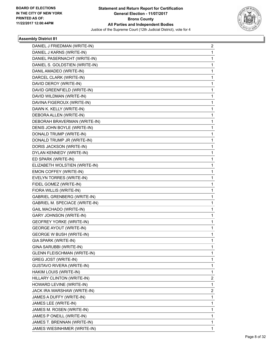

| DANIEL J FRIEDMAN (WRITE-IN)          | $\overline{2}$ |
|---------------------------------------|----------------|
| DANIEL J KARNS (WRITE-IN)             | 1              |
| DANIEL PASERNACHT (WRITE-IN)          | 1              |
| DANIEL S. GOLDSTIEN (WRITE-IN)        | 1              |
| DANIL AMADEO (WRITE-IN)               | 1              |
| DARCEL CLARK (WRITE-IN)               | 1              |
| DAVID DEROY (WRITE-IN)                | 1              |
| DAVID GREENFIELD (WRITE-IN)           | 1              |
| DAVID WILDMAN (WRITE-IN)              | 1              |
| DAVINA FIGEROUX (WRITE-IN)            | 1              |
| DAWN K. KELLY (WRITE-IN)              | 1              |
| DEBORA ALLEN (WRITE-IN)               | 1              |
| DEBORAH BRAVERMAN (WRITE-IN)          | 1              |
| DENIS JOHN BOYLE (WRITE-IN)           | 1              |
| DONALD TRUMP (WRITE-IN)               | 1              |
| DONALD TRUMP JR (WRITE-IN)            | 1              |
| DORIS JACKSON (WRITE-IN)              | 1              |
| DYLAN KENNEDY (WRITE-IN)              | 1              |
| ED SPARK (WRITE-IN)                   | 1              |
| ELIZABETH WOLSTIEN (WRITE-IN)         | 1              |
| EMON COFFEY (WRITE-IN)                | 1              |
| EVELYN TORRES (WRITE-IN)              | 1              |
| FIDEL GOMEZ (WRITE-IN)                | 1              |
| FIORA WILLIS (WRITE-IN)               | 1              |
| <b>GABRIEL GRENBERG (WRITE-IN)</b>    | 1              |
| <b>GABRIEL M. SPECIACE (WRITE-IN)</b> | 1              |
| GAIL MACHADO (WRITE-IN)               | 1              |
| <b>GARY JOHNSON (WRITE-IN)</b>        | 1              |
| <b>GEOFREY YORKE (WRITE-IN)</b>       | 1              |
| <b>GEORGE AYOUT (WRITE-IN)</b>        | 1              |
| <b>GEORGE W BUSH (WRITE-IN)</b>       | 1              |
| GIA SPARK (WRITE-IN)                  | 1              |
| GINA SARUBBI (WRITE-IN)               | 1              |
| <b>GLENN FLEISCHMAN (WRITE-IN)</b>    | 1              |
| GREG JOST (WRITE-IN)                  | 1              |
| GUSTAVO RIVERA (WRITE-IN)             | 1              |
| HAKIM LOUIS (WRITE-IN)                | 1              |
| HILLARY CLINTON (WRITE-IN)            | 2              |
| HOWARD LEVINE (WRITE-IN)              | 1              |
| JACK IRA WARSHAW (WRITE-IN)           | 2              |
| JAMES A DUFFY (WRITE-IN)              | 1              |
| JAMES LEE (WRITE-IN)                  | 1              |
| JAMES M. ROSEN (WRITE-IN)             | 1              |
| JAMES P ONEILL (WRITE-IN)             | 1              |
| JAMES T. BRENNAN (WRITE-IN)           | 1              |
| JAMES WIESINHIMER (WRITE-IN)          | 1              |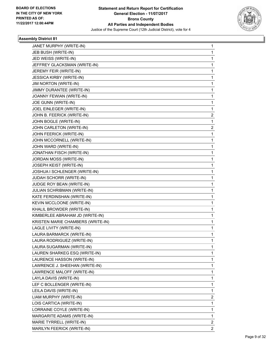

| JANET MURPHY (WRITE-IN)           | 1              |
|-----------------------------------|----------------|
| JEB BUSH (WRITE-IN)               | 1              |
| JED WEISS (WRITE-IN)              | $\mathbf{1}$   |
| JEFFREY GLACKSMAN (WRITE-IN)      | 1              |
| JEREMY FEIR (WRITE-IN)            | 1              |
| <b>JESSICA KIRBY (WRITE-IN)</b>   | 1              |
| JIM NORTON (WRITE-IN)             | 1              |
| JIMMY DURANTEE (WRITE-IN)         | 1              |
| JOANNY FEWIAN (WRITE-IN)          | 1              |
| JOE GUNN (WRITE-IN)               | 1              |
| JOEL EINLEGER (WRITE-IN)          | 1              |
| JOHN B. FEERICK (WRITE-IN)        | 2              |
| JOHN BOGLE (WRITE-IN)             | 1              |
| JOHN CARLETON (WRITE-IN)          | $\overline{2}$ |
| JOHN FEERICK (WRITE-IN)           | $\mathbf{1}$   |
| JOHN MCCORNELL (WRITE-IN)         | 1              |
| JOHN WARD (WRITE-IN)              | 1              |
| JONATHAN FISCH (WRITE-IN)         | 1              |
| JORDAN MOSS (WRITE-IN)            | 1              |
| JOSEPH KEIST (WRITE-IN)           | 1              |
| JOSHUA I SCHLENGER (WRITE-IN)     | 1              |
| JUDAH SCHORR (WRITE-IN)           | 1              |
| JUDGE ROY BEAN (WRITE-IN)         | 1              |
| JULIAN SCHRIBMAN (WRITE-IN)       | 1              |
| KATE FERDINSHAN (WRITE-IN)        | 1              |
| KEVIN MCCLOONE (WRITE-IN)         | 1              |
| KHALIL BROWDER (WRITE-IN)         | 1              |
| KIMBERLEE ABRAHAM JD (WRITE-IN)   | 1              |
| KRISTEN MARIE CHAMBERS (WRITE-IN) | 1              |
| LAGLE LIVITY (WRITE-IN)           | 1              |
| LAURA BARMARCK (WRITE-IN)         | 1              |
| LAURA RODRIGUEZ (WRITE-IN)        | 1              |
| LAURA SUGARMAN (WRITE-IN)         | 1              |
| LAUREN SHARKEG ESQ (WRITE-IN)     | 1              |
| LAURENCE HASSON (WRITE-IN)        | 1              |
| LAWRENCE J. SHEEHAN (WRITE-IN)    | 1              |
| LAWRENCE MALOFF (WRITE-IN)        | 1              |
| LAYLA DAVIS (WRITE-IN)            | 1              |
| LEF C BOLLENGER (WRITE-IN)        | 1              |
| LEILA DAVIS (WRITE-IN)            | 1              |
| LIAM MURPHY (WRITE-IN)            | 2              |
| LOIS CARTICA (WRITE-IN)           | $\mathbf 1$    |
| LORRAINE COYLE (WRITE-IN)         | 1              |
| MARGARITE ADAMS (WRITE-IN)        | 1              |
| MARIE TYRRELL (WRITE-IN)          | 2              |
| MARILYN FEERICK (WRITE-IN)        | $\overline{2}$ |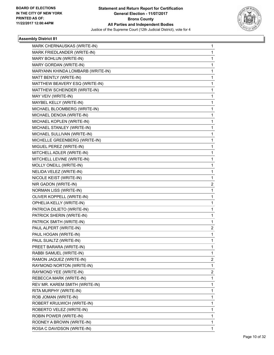

| MARK CHERNAUSKAS (WRITE-IN)       | 1 |
|-----------------------------------|---|
| MARK FRIEDLANDER (WRITE-IN)       | 1 |
| MARY BOHLUN (WRITE-IN)            | 1 |
| MARY GORDAN (WRITE-IN)            | 1 |
| MARYANN KHINDA LOMBARB (WRITE-IN) | 1 |
| MATT BENTLY (WRITE-IN)            | 1 |
| MATTHEW BEAVERY ESQ (WRITE-IN)    | 1 |
| MATTHEW SCHEINDER (WRITE-IN)      | 1 |
| MAY VEIV (WRITE-IN)               | 1 |
| MAYBEL KELLY (WRITE-IN)           | 1 |
| MICHAEL BLOOMBERG (WRITE-IN)      | 1 |
| MICHAEL DENOIA (WRITE-IN)         | 1 |
| MICHAEL KOPLEN (WRITE-IN)         | 1 |
| MICHAEL STANLEY (WRITE-IN)        | 1 |
| MICHAEL SULLIVAN (WRITE-IN)       | 1 |
| MICHELLE GREENBERG (WRITE-IN)     | 1 |
| MIGUEL PEREZ (WRITE-IN)           | 1 |
| MITCHELL ADLER (WRITE-IN)         | 1 |
| MITCHELL LEVINE (WRITE-IN)        | 1 |
| MOLLY ONEILL (WRITE-IN)           | 1 |
| NELIDA VELEZ (WRITE-IN)           | 1 |
| NICOLE KEIST (WRITE-IN)           | 1 |
| NIR GADON (WRITE-IN)              | 2 |
| NORMAN LISS (WRITE-IN)            | 1 |
| OLIVER KOPPELL (WRITE-IN)         | 1 |
| OPHELIA KELLY (WRITE-IN)          | 1 |
| PATRICIA DILIETO (WRITE-IN)       | 1 |
| PATRICK SHERIN (WRITE-IN)         | 1 |
| PATRICK SMITH (WRITE-IN)          | 1 |
| PAUL ALPERT (WRITE-IN)            | 2 |
| PAUL HOGAN (WRITE-IN)             | 1 |
| PAUL SUALTZ (WRITE-IN)            | 1 |
| PREET BARARA (WRITE-IN)           | 1 |
| RABBI SAMUEL (WRITE-IN)           | 1 |
| RAMON JAQUEZ (WRITE-IN)           | 2 |
| RAYMOND NORTON (WRITE-IN)         | 1 |
| RAYMOND YEE (WRITE-IN)            | 2 |
| REBECCA MARK (WRITE-IN)           | 1 |
| REV MR. KAREM SMITH (WRITE-IN)    | 1 |
| RITA MURPHY (WRITE-IN)            | 1 |
| ROB JOMAN (WRITE-IN)              | 1 |
| ROBERT KRULWICH (WRITE-IN)        | 1 |
| ROBERTO VELEZ (WRITE-IN)          | 1 |
| ROBIN POWER (WRITE-IN)            | 1 |
| RODNEY A BROWN (WRITE-IN)         | 1 |
| ROSA C DAVIDSON (WRITE-IN)        | 1 |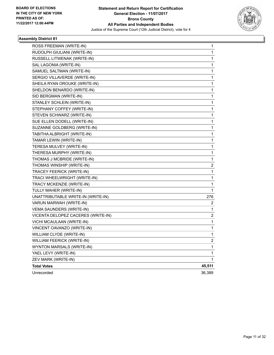

| ROSS FREEMAN (WRITE-IN)            | 1                       |
|------------------------------------|-------------------------|
| RUDOLPH GIULIANI (WRITE-IN)        | 1                       |
| RUSSELL LITWENAK (WRITE-IN)        | 1                       |
| SAL LAGONIA (WRITE-IN)             | 1                       |
| SAMUEL SALTMAN (WRITE-IN)          | 1                       |
| SERGIO VILLAVERDE (WRITE-IN)       | 1                       |
| SHEILA RYAN OROUKE (WRITE-IN)      | 1                       |
| SHELDON BENARDO (WRITE-IN)         | 1                       |
| SID BERGMAN (WRITE-IN)             | 1                       |
| STANLEY SCHLEIN (WRITE-IN)         | $\mathbf 1$             |
| STEPHANY COFFEY (WRITE-IN)         | $\mathbf 1$             |
| STEVEN SCHWARZ (WRITE-IN)          | $\mathbf 1$             |
| SUE ELLEN DODELL (WRITE-IN)        | 1                       |
| SUZANNE GOLDBERG (WRITE-IN)        | 1                       |
| TABITHA ALBRIGHT (WRITE-IN)        | 1                       |
| TAMAR LEWIN (WRITE-IN)             | 1                       |
| TERESA MULVEY (WRITE-IN)           | 1                       |
| THERESA MURPHY (WRITE-IN)          | 1                       |
| THOMAS J MCBRIDE (WRITE-IN)        | 1                       |
| THOMAS WINSHIP (WRITE-IN)          | $\overline{\mathbf{c}}$ |
| TRACEY FEERICK (WRITE-IN)          | 1                       |
| TRACI WHEELWRIGHT (WRITE-IN)       | 1                       |
| TRACY MCKENZIE (WRITE-IN)          | 1                       |
| TULLY MAHER (WRITE-IN)             | 1                       |
| UNATTRIBUTABLE WRITE-IN (WRITE-IN) | 276                     |
| VARUN MARWAH (WRITE-IN)            | 2                       |
| VEMA SAUNDERS (WRITE-IN)           | 1                       |
| VICENTA DELOPEZ CACERES (WRITE-IN) | 2                       |
| VICHI MCAULAAN (WRITE-IN)          | 1                       |
| VINCENT OAVANZO (WRITE-IN)         | $\mathbf{1}$            |
| WILLIAM CLYDE (WRITE-IN)           | 1                       |
| WILLIAM FEERICK (WRITE-IN)         | $\overline{\mathbf{c}}$ |
| WYNTON MARSALS (WRITE-IN)          | 1                       |
| YAEL LEVY (WRITE-IN)               | 1                       |
| ZEV MARK (WRITE-IN)                | 1                       |
| <b>Total Votes</b>                 | 45,511                  |
| Unrecorded                         | 36,389                  |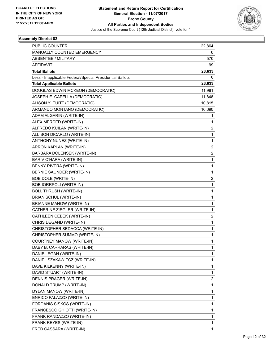

| <b>PUBLIC COUNTER</b>                                    | 22,864                  |
|----------------------------------------------------------|-------------------------|
| MANUALLY COUNTED EMERGENCY                               | 0                       |
| <b>ABSENTEE / MILITARY</b>                               | 570                     |
| <b>AFFIDAVIT</b>                                         | 199                     |
| <b>Total Ballots</b>                                     | 23,633                  |
| Less - Inapplicable Federal/Special Presidential Ballots | 0                       |
| <b>Total Applicable Ballots</b>                          | 23,633                  |
| DOUGLAS EDWIN MCKEON (DEMOCRATIC)                        | 11,981                  |
| JOSEPH E. CAPELLA (DEMOCRATIC)                           | 11,848                  |
| ALISON Y. TUITT (DEMOCRATIC)                             | 10,815                  |
| ARMANDO MONTANO (DEMOCRATIC)                             | 10,690                  |
| ADAM ALGARIN (WRITE-IN)                                  | 1                       |
| ALEX MERCED (WRITE-IN)                                   | 1                       |
| ALFREDO KUILAN (WRITE-IN)                                | $\overline{\mathbf{c}}$ |
| ALLISON DICARLO (WRITE-IN)                               | 1                       |
| ANTHONY NUNEZ (WRITE-IN)                                 | 1                       |
| ARRON KAPLAN (WRITE-IN)                                  | 2                       |
| BARBARA DOLENSEK (WRITE-IN)                              | $\overline{\mathbf{c}}$ |
| BARIV O'HARA (WRITE-IN)                                  | 1                       |
| BENNY RIVERA (WRITE-IN)                                  | $\mathbf{1}$            |
| BERNIE SAUNDER (WRITE-IN)                                | 1                       |
| <b>BOB DOLE (WRITE-IN)</b>                               | $\overline{\mathbf{c}}$ |
| <b>BOB IORRPOLI (WRITE-IN)</b>                           | $\mathbf{1}$            |
| <b>BOLL THRUSH (WRITE-IN)</b>                            | 1                       |
| <b>BRIAN SCHUL (WRITE-IN)</b>                            | 1                       |
| <b>BRIANNE MANOW (WRITE-IN)</b>                          | $\mathbf{1}$            |
| CATHERINE ZIEGLER (WRITE-IN)                             | 1                       |
| CATHLEEN CEBEK (WRITE-IN)                                | $\overline{\mathbf{c}}$ |
| CHRIS DEGAND (WRITE-IN)                                  | $\mathbf{1}$            |
| CHRISTOPHER SEDACCA (WRITE-IN)                           | 1                       |
| CHRISTOPHER SUMMO (WRITE-IN)                             | 1                       |
| COURTNEY MANOW (WRITE-IN)                                | 1                       |
| DABY B. CARRARAS (WRITE-IN)                              | 1                       |
| DANIEL EGAN (WRITE-IN)                                   | 1                       |
| DANIEL SZAKAWIECZ (WRITE-IN)                             | 1                       |
| DAVE KILKENNY (WRITE-IN)                                 | 1                       |
| DAVID STUART (WRITE-IN)                                  | 1                       |
| DENNIS PRAGER (WRITE-IN)                                 | 2                       |
| DONALD TRUMP (WRITE-IN)                                  | 1                       |
| DYLAN MANOW (WRITE-IN)                                   | 1                       |
| ENRICO PALAZZO (WRITE-IN)                                | 1                       |
| FORDANIS SISKOS (WRITE-IN)                               | 1                       |
| FRANCESCO GHIOTTI (WRITE-IN)                             | 1                       |
| FRANK RANDAZZO (WRITE-IN)                                | 1                       |
| FRANK REYES (WRITE-IN)                                   | 1                       |
| FRED CASSARA (WRITE-IN)                                  | $\mathbf{1}$            |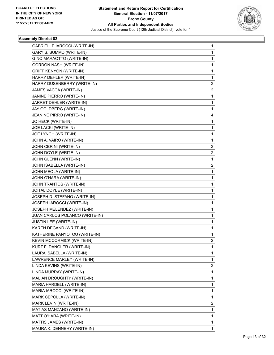

| GABRIELLE IAROCCI (WRITE-IN)      | 1              |
|-----------------------------------|----------------|
| GARY S. SUMMD (WRITE-IN)          | 1              |
| GINO MARAOTTO (WRITE-IN)          | 1              |
| <b>GORDON NASH (WRITE-IN)</b>     | 1              |
| <b>GRIFF KENYON (WRITE-IN)</b>    | 1              |
| HARRY DEHLER (WRITE-IN)           | 1              |
| HARRY DUSENBERRY (WRITE-IN)       | 2              |
| JAMES VACCA (WRITE-IN)            | 2              |
| JANINE PIERRO (WRITE-IN)          | 1              |
| JARRET DEHLER (WRITE-IN)          | 1              |
| JAY GOLDBERG (WRITE-IN)           | 1              |
| JEANINE PIRRO (WRITE-IN)          | 4              |
| JO HECK (WRITE-IN)                | 1              |
| JOE LACKI (WRITE-IN)              | 1              |
| JOE LYNCH (WRITE-IN)              | 1              |
| JOHN A. VAIRO (WRITE-IN)          | 1              |
| JOHN CERINI (WRITE-IN)            | 2              |
| JOHN DOYLE (WRITE-IN)             | 2              |
| JOHN GLENN (WRITE-IN)             | 1              |
| JOHN ISABELLA (WRITE-IN)          | 2              |
| JOHN MEOLA (WRITE-IN)             | 1              |
| JOHN O'HARA (WRITE-IN)            | 1              |
| JOHN TRANTOS (WRITE-IN)           | 1              |
| JOITAL DOYLE (WRITE-IN)           | 1              |
| JOSEPH D. STEFANO (WRITE-IN)      | 1              |
| JOSEPH IAROCCI (WRITE-IN)         | 1              |
| JOSEPH MELENDEZ (WRITE-IN)        | 1              |
| JUAN CARLOS POLANCO (WRITE-IN)    | 1              |
| JUSTIN LEE (WRITE-IN)             | 1              |
| KAREN DEGAND (WRITE-IN)           | 1              |
| KATHERINE PANYOTOU (WRITE-IN)     | 1              |
| <b>KEVIN MCCORMICK (WRITE-IN)</b> | $\overline{c}$ |
| KURT F. DANGLER (WRITE-IN)        | 1              |
| LAURA ISABELLA (WRITE-IN)         | 1              |
| LAWRENCE MARLEY (WRITE-IN)        | 1              |
| LINDA KEVINS (WRITE-IN)           | 2              |
| LINDA MURRAY (WRITE-IN)           | 1              |
| MALIAN DROUGHTY (WRITE-IN)        | 1              |
| MARIA HARDELL (WRITE-IN)          | 1              |
| MARIA IAROCCI (WRITE-IN)          | 1              |
| MARK CEPOLLA (WRITE-IN)           | 1              |
| MARK LEVIN (WRITE-IN)             | 2              |
| MATIAS MANZANO (WRITE-IN)         | 1              |
| MATT O'HARA (WRITE-IN)            | 1              |
| MATTIS JAMES (WRITE-IN)           | 1              |
| MAURA K. DENNEHY (WRITE-IN)       | 1              |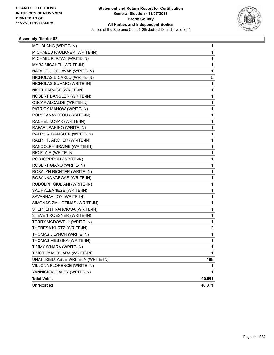

| MEL BLANC (WRITE-IN)<br>MICHAEL J FAULKNER (WRITE-IN) | 1<br>1 |
|-------------------------------------------------------|--------|
| MICHAEL P. RYAN (WRITE-IN)                            | 1      |
| MYRA MICAHEL (WRITE-IN)                               | 1      |
| NATALIE J. SOLAVAK (WRITE-IN)                         | 1      |
| NICHOLAS DICARLO (WRITE-IN)                           | 5      |
| NICHOLAS SUMMO (WRITE-IN)                             | 1      |
| NIGEL FARAGE (WRITE-IN)                               | 1      |
| NOBERT DANGLER (WRITE-IN)                             | 1      |
| <b>OSCAR ALCALDE (WRITE-IN)</b>                       | 1      |
| PATRICK MANOW (WRITE-IN)                              | 1      |
| POLY PANAYOTOU (WRITE-IN)                             | 1      |
| RACHEL KOSAK (WRITE-IN)                               | 1      |
| RAFAEL SANINO (WRITE-IN)                              | 1      |
| RALPH A. DANGLER (WRITE-IN)                           | 1      |
| RALPH T. ARCHER (WRITE-IN)                            | 1      |
| RANDOLPH BRAINE (WRITE-IN)                            | 1      |
| RIC FLAIR (WRITE-IN)                                  | 1      |
| ROB IORRPOLI (WRITE-IN)                               | 1      |
| ROBERT GIANO (WRITE-IN)                               | 1      |
| ROSALYN RICHTER (WRITE-IN)                            | 1      |
| ROSANNA VARGAS (WRITE-IN)                             | 1      |
| RUDOLPH GIULIANI (WRITE-IN)                           | 1      |
| SAL F ALBANESE (WRITE-IN)                             | 1      |
| SAVANNAH JOY (WRITE-IN)                               | 1      |
| SIMONAS ZMUIDZINAS (WRITE-IN)                         | 1      |
| STEPHEN FRANCIOSA (WRITE-IN)                          | 1      |
| STEVEN ROESNER (WRITE-IN)                             | 1      |
| TERRY MCDOWELL (WRITE-IN)                             | 1      |
| THERESA KURTZ (WRITE-IN)                              | 2      |
| THOMAS J LYNCH (WRITE-IN)                             | 1      |
| THOMAS MESSINA (WRITE-IN)                             | 1      |
| TIMMY O'HARA (WRITE-IN)                               | 1      |
| TIMOTHY M O'HARA (WRITE-IN)                           | 1      |
| UNATTRIBUTABLE WRITE-IN (WRITE-IN)                    | 188    |
| VILLONA FLORENCE (WRITE-IN)                           | 1      |
| YANNICK V. DALEY (WRITE-IN)                           | 1      |
| <b>Total Votes</b>                                    | 45,661 |
| Unrecorded                                            | 48,871 |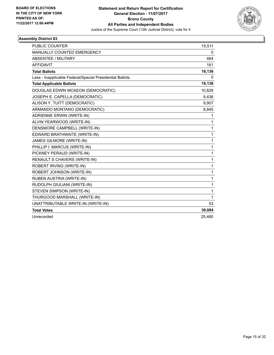

| <b>PUBLIC COUNTER</b>                                    | 15,511       |
|----------------------------------------------------------|--------------|
| <b>MANUALLY COUNTED EMERGENCY</b>                        | $\mathbf{0}$ |
| <b>ABSENTEE / MILITARY</b>                               | 464          |
| <b>AFFIDAVIT</b>                                         | 161          |
| <b>Total Ballots</b>                                     | 16,136       |
| Less - Inapplicable Federal/Special Presidential Ballots | 0            |
| <b>Total Applicable Ballots</b>                          | 16,136       |
| DOUGLAS EDWIN MCKEON (DEMOCRATIC)                        | 10,829       |
| JOSEPH E. CAPELLA (DEMOCRATIC)                           | 9,436        |
| ALISON Y. TUITT (DEMOCRATIC)                             | 9,907        |
| ARMANDO MONTANO (DEMOCRATIC)                             | 8,845        |
| <b>ADRIENNE ERWIN (WRITE-IN)</b>                         | 1            |
| ALVIN YEARWOOD (WRITE-IN)                                | $\mathbf{1}$ |
| DENSMORE CAMPBELL (WRITE-IN)                             | 1            |
| EDWARD BRATHWAITE (WRITE-IN)                             | $\mathbf{1}$ |
| <b>JAMES GILMORE (WRITE-IN)</b>                          | $\mathbf{1}$ |
| PHILLIP I. MARCUS (WRITE-IN)                             | $\mathbf 1$  |
| PICKNEY PERAUD (WRITE-IN)                                | $\mathbf{1}$ |
| RENAULT S CHAVERS (WRITE-IN)                             | $\mathbf{1}$ |
| ROBERT IRVING (WRITE-IN)                                 | 1            |
| ROBERT JOHNSON (WRITE-IN)                                | $\mathbf 1$  |
| RUBEN AUSTRIA (WRITE-IN)                                 | $\mathbf{1}$ |
| RUDOLPH GIULIANI (WRITE-IN)                              | $\mathbf{1}$ |
| STEVEN SIMPSON (WRITE-IN)                                | $\mathbf{1}$ |
| THURGOOD MARSHALL (WRITE-IN)                             | $\mathbf{1}$ |
| UNATTRIBUTABLE WRITE-IN (WRITE-IN)                       | 53           |
| <b>Total Votes</b>                                       | 39,084       |
| Unrecorded                                               | 25,460       |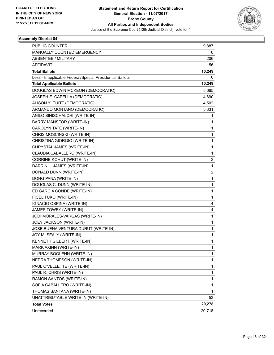

| <b>PUBLIC COUNTER</b>                                    | 9,887                   |
|----------------------------------------------------------|-------------------------|
| MANUALLY COUNTED EMERGENCY                               | 0                       |
| ABSENTEE / MILITARY                                      | 206                     |
| AFFIDAVIT                                                | 156                     |
| <b>Total Ballots</b>                                     | 10,249                  |
| Less - Inapplicable Federal/Special Presidential Ballots | 0                       |
| <b>Total Applicable Ballots</b>                          | 10,249                  |
| DOUGLAS EDWIN MCKEON (DEMOCRATIC)                        | 5,665                   |
| JOSEPH E. CAPELLA (DEMOCRATIC)                           | 4,690                   |
| ALISON Y. TUITT (DEMOCRATIC)                             | 4,502                   |
| ARMANDO MONTANO (DEMOCRATIC)                             | 5,331                   |
| ANILO SINISCHALCHI (WRITE-IN)                            | 1                       |
| BARRY MANSFOR (WRITE-IN)                                 | 1                       |
| CAROLYN TATE (WRITE-IN)                                  | 1                       |
| CHRIS MOSCINSKI (WRITE-IN)                               | 1                       |
| CHRISTINA GIORGIO (WRITE-IN)                             | 1                       |
| CHRYSTAL JAMES (WRITE-IN)                                | 1                       |
| CLAUDIA CABALLERO (WRITE-IN)                             | 1                       |
| CORRINE KOHUT (WRITE-IN)                                 | 2                       |
| DARRIN L. JAMES (WRITE-IN)                               | 1                       |
| DONALD DUNN (WRITE-IN)                                   | $\overline{\mathbf{c}}$ |
| DONG PANA (WRITE-IN)                                     | 1                       |
| DOUGLAS C. DUNN (WRITE-IN)                               | 1                       |
| ED GARCIA CONDE (WRITE-IN)                               | 1                       |
| FICEL TUKO (WRITE-IN)                                    | 1                       |
| IGNACIO OSPINA (WRITE-IN)                                | 4                       |
| JAMES TOWEY (WRITE-IN)                                   | 4                       |
| JODI MORALES-VARGAS (WRITE-IN)                           | 1                       |
| JOEY JACKSON (WRITE-IN)                                  | 1                       |
| JOSE BUENA VENTURA DURUT (WRITE-IN)                      | 1                       |
| JOY M. SEALY (WRITE-IN)                                  | 1                       |
| KENNETH GILBERT (WRITE-IN)                               | 1                       |
| MARK AXINN (WRITE-IN)                                    | 1                       |
| MURRAY BOOLENN (WRITE-IN)                                | 1                       |
| NEDRA THOMPSON (WRITE-IN)                                | 1                       |
| PAUL O'VELLETTE (WRITE-IN)                               | 1                       |
| PAUL R. CHRIS (WRITE-IN)                                 | 1                       |
| RAMON SANTOS (WRITE-IN)                                  | 1                       |
| SOFIA CABALLERO (WRITE-IN)                               | 1                       |
| THOMAS SANTANA (WRITE-IN)                                | 1                       |
| UNATTRIBUTABLE WRITE-IN (WRITE-IN)                       | 53                      |
| <b>Total Votes</b>                                       | 20,278                  |
| Unrecorded                                               | 20,718                  |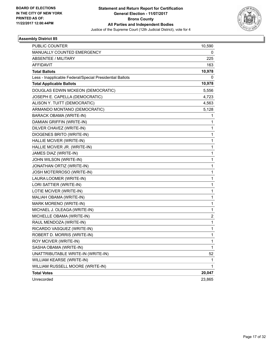

| <b>PUBLIC COUNTER</b>                                    | 10,590                  |
|----------------------------------------------------------|-------------------------|
| MANUALLY COUNTED EMERGENCY                               | 0                       |
| <b>ABSENTEE / MILITARY</b>                               | 225                     |
| <b>AFFIDAVIT</b>                                         | 163                     |
| <b>Total Ballots</b>                                     | 10,978                  |
| Less - Inapplicable Federal/Special Presidential Ballots | 0                       |
| <b>Total Applicable Ballots</b>                          | 10,978                  |
| DOUGLAS EDWIN MCKEON (DEMOCRATIC)                        | 5,556                   |
| JOSEPH E. CAPELLA (DEMOCRATIC)                           | 4,723                   |
| ALISON Y. TUITT (DEMOCRATIC)                             | 4,563                   |
| ARMANDO MONTANO (DEMOCRATIC)                             | 5,128                   |
| BARACK OBAMA (WRITE-IN)                                  | 1                       |
| DAMIAN GRIFFIN (WRITE-IN)                                | 1                       |
| DILVER CHAVEZ (WRITE-IN)                                 | $\mathbf{1}$            |
| DIOGENES BRITO (WRITE-IN)                                | 1                       |
| HALLIE MCIVER (WRITE-IN)                                 | 1                       |
| HALLIE MCIVER JR. (WRITE-IN)                             | $\mathbf{1}$            |
| JAMES DIAZ (WRITE-IN)                                    | 1                       |
| JOHN WILSON (WRITE-IN)                                   | 1                       |
| JONATHAN ORTIZ (WRITE-IN)                                | $\mathbf{1}$            |
| JOSH MOTERROSO (WRITE-IN)                                | 1                       |
| LAURA LOOMER (WRITE-IN)                                  | 1                       |
| LORI SATTIER (WRITE-IN)                                  | $\mathbf{1}$            |
| LOTIE MCIVER (WRITE-IN)                                  | 1                       |
| MALIAH OBAMA (WRITE-IN)                                  | 1                       |
| MARK MORENO (WRITE-IN)                                   | $\mathbf{1}$            |
| MICHAEL J. OLEAGA (WRITE-IN)                             | 1                       |
| MICHELLE OBAMA (WRITE-IN)                                | $\overline{\mathbf{c}}$ |
| RAUL MENDOZA (WRITE-IN)                                  | $\mathbf{1}$            |
| RICARDO VASQUEZ (WRITE-IN)                               | 1                       |
| ROBERT D. MORRIS (WRITE-IN)                              | 1                       |
| ROY MCIVER (WRITE-IN)                                    | 1                       |
| SASHA OBAMA (WRITE-IN)                                   | 1                       |
| UNATTRIBUTABLE WRITE-IN (WRITE-IN)                       | 52                      |
| WILLIAM KEARSE (WRITE-IN)                                | 1                       |
| WILLIAM RUSSELL MOORE (WRITE-IN)                         | 1                       |
| <b>Total Votes</b>                                       | 20,047                  |
| Unrecorded                                               | 23,865                  |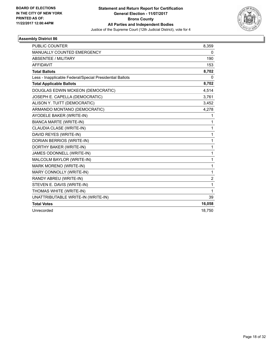

| <b>PUBLIC COUNTER</b>                                    | 8,359          |
|----------------------------------------------------------|----------------|
| MANUALLY COUNTED EMERGENCY                               | 0              |
| <b>ABSENTEE / MILITARY</b>                               | 190            |
| <b>AFFIDAVIT</b>                                         | 153            |
| <b>Total Ballots</b>                                     | 8,702          |
| Less - Inapplicable Federal/Special Presidential Ballots | 0              |
| <b>Total Applicable Ballots</b>                          | 8,702          |
| DOUGLAS EDWIN MCKEON (DEMOCRATIC)                        | 4,514          |
| JOSEPH E. CAPELLA (DEMOCRATIC)                           | 3,761          |
| ALISON Y. TUITT (DEMOCRATIC)                             | 3,452          |
| ARMANDO MONTANO (DEMOCRATIC)                             | 4,278          |
| AYODELE BAKER (WRITE-IN)                                 | 1              |
| <b>BIANCA MARTE (WRITE-IN)</b>                           | 1              |
| CLAUDIA CLASE (WRITE-IN)                                 | 1              |
| DAVID REYES (WRITE-IN)                                   | 1              |
| DORIAN BERRIOS (WRITE-IN)                                | 1              |
| DORTHY BAKER (WRITE-IN)                                  | 1              |
| JAMES ODONNELL (WRITE-IN)                                | 1              |
| MALCOLM BAYLOR (WRITE-IN)                                | 1              |
| MARK MORENO (WRITE-IN)                                   | 1              |
| MARY CONNOLLY (WRITE-IN)                                 | 1              |
| RANDY ABREU (WRITE-IN)                                   | $\overline{2}$ |
| STEVEN E. DAVIS (WRITE-IN)                               | 1              |
| THOMAS WHITE (WRITE-IN)                                  | 1              |
| UNATTRIBUTABLE WRITE-IN (WRITE-IN)                       | 39             |
| <b>Total Votes</b>                                       | 16,058         |
| Unrecorded                                               | 18,750         |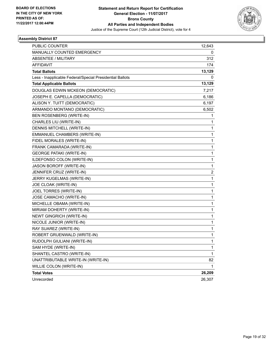

| PUBLIC COUNTER                                           | 12,643                  |
|----------------------------------------------------------|-------------------------|
| MANUALLY COUNTED EMERGENCY                               | 0                       |
| <b>ABSENTEE / MILITARY</b>                               | 312                     |
| <b>AFFIDAVIT</b>                                         | 174                     |
| <b>Total Ballots</b>                                     | 13,129                  |
| Less - Inapplicable Federal/Special Presidential Ballots | 0                       |
| <b>Total Applicable Ballots</b>                          | 13,129                  |
| DOUGLAS EDWIN MCKEON (DEMOCRATIC)                        | 7,217                   |
| JOSEPH E. CAPELLA (DEMOCRATIC)                           | 6,186                   |
| ALISON Y. TUITT (DEMOCRATIC)                             | 6,197                   |
| ARMANDO MONTANO (DEMOCRATIC)                             | 6,502                   |
| BEN ROSENBERG (WRITE-IN)                                 | 1                       |
| CHARLES LIU (WRITE-IN)                                   | 1                       |
| DENNIS MITCHELL (WRITE-IN)                               | 1                       |
| EMMANUEL CHAMBERS (WRITE-IN)                             | 1                       |
| FIDEL MORALES (WRITE-IN)                                 | 1                       |
| FRANK CAMARADA (WRITE-IN)                                | 1                       |
| <b>GEORGE PATAKI (WRITE-IN)</b>                          | 1                       |
| ILDEFONSO COLON (WRITE-IN)                               | 1                       |
| JASON BOROFF (WRITE-IN)                                  | 1                       |
| JENNIFER CRUZ (WRITE-IN)                                 | $\overline{\mathbf{c}}$ |
| JERRY KUGELMAS (WRITE-IN)                                | 1                       |
| JOE CLOAK (WRITE-IN)                                     | 1                       |
| JOEL TORRES (WRITE-IN)                                   | 1                       |
| JOSE CAMACHO (WRITE-IN)                                  | 1                       |
| MICHELLE OBAMA (WRITE-IN)                                | 1                       |
| MIRIAM DOHERTY (WRITE-IN)                                | 1                       |
| <b>NEWT GINGRICH (WRITE-IN)</b>                          | 1                       |
| NICOLE JUNIOR (WRITE-IN)                                 | 1                       |
| RAY SUAREZ (WRITE-IN)                                    | 1                       |
| ROBERT GRUENWALD (WRITE-IN)                              | 1                       |
| RUDOLPH GIULIANI (WRITE-IN)                              | 1                       |
| SAM HYDE (WRITE-IN)                                      | 1                       |
| SHANTEL CASTRO (WRITE-IN)                                | $\mathbf{1}$            |
| UNATTRIBUTABLE WRITE-IN (WRITE-IN)                       | 82                      |
| WILLIE COLON (WRITE-IN)                                  | 1                       |
| <b>Total Votes</b>                                       | 26,209                  |
| Unrecorded                                               | 26,307                  |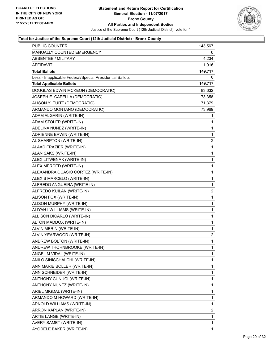

| PUBLIC COUNTER                                           | 143,567      |
|----------------------------------------------------------|--------------|
| MANUALLY COUNTED EMERGENCY                               | 0            |
| <b>ABSENTEE / MILITARY</b>                               | 4,234        |
| <b>AFFIDAVIT</b>                                         | 1,916        |
| <b>Total Ballots</b>                                     | 149,717      |
| Less - Inapplicable Federal/Special Presidential Ballots | 0            |
| <b>Total Applicable Ballots</b>                          | 149,717      |
| DOUGLAS EDWIN MCKEON (DEMOCRATIC)                        | 83,632       |
| JOSEPH E. CAPELLA (DEMOCRATIC)                           | 73,358       |
| ALISON Y. TUITT (DEMOCRATIC)                             | 71,379       |
| ARMANDO MONTANO (DEMOCRATIC)                             | 73,969       |
| ADAM ALGARIN (WRITE-IN)                                  | 1            |
| ADAM STOLER (WRITE-IN)                                   | 1            |
| ADELINA NUNEZ (WRITE-IN)                                 | 1            |
| ADRIENNE ERWIN (WRITE-IN)                                | 1            |
| AL SHARPTON (WRITE-IN)                                   | 2            |
| ALAAD FRAZIER (WRITE-IN)                                 | 1            |
| ALAN SAKS (WRITE-IN)                                     | 1            |
| ALEX LITWENAK (WRITE-IN)                                 | 1            |
| ALEX MERCED (WRITE-IN)                                   | 1            |
| ALEXANDRA OCASIO CORTEZ (WRITE-IN)                       | 1            |
| ALEXIS MARCELO (WRITE-IN)                                | 1            |
| ALFREDO ANGUEIRA (WRITE-IN)                              | 1            |
| ALFREDO KUILAN (WRITE-IN)                                | 2            |
| ALISON FOX (WRITE-IN)                                    | 1            |
| ALISON MURPHY (WRITE-IN)                                 | 1            |
| ALIYAH I WILLIAMS (WRITE-IN)                             | 1            |
| ALLISON DICARLO (WRITE-IN)                               | 1            |
| ALTON MADDOX (WRITE-IN)                                  | 1            |
| ALVIN MERIN (WRITE-IN)                                   | 1            |
| ALVIN YEARWOOD (WRITE-IN)                                | 2            |
| ANDREW BOLTON (WRITE-IN)                                 | $\mathbf{1}$ |
| ANDREW THORNBROOKE (WRITE-IN)                            | 1            |
| ANGEL M VIDAL (WRITE-IN)                                 | 1            |
| ANILO SINISCHALCHI (WRITE-IN)                            | 1            |
| ANN MARIE BOLLER (WRITE-IN)                              | 1            |
| ANN SCHNEIDER (WRITE-IN)                                 | 1            |
| ANTHONY CUNUCI (WRITE-IN)                                | 1            |
| ANTHONY NUNEZ (WRITE-IN)                                 | 1            |
| ARIEL MIGDAL (WRITE-IN)                                  | 1            |
| ARMANDO M HOWARD (WRITE-IN)                              | 1            |
| ARNOLD WILLIAMS (WRITE-IN)                               | 1            |
| ARRON KAPLAN (WRITE-IN)                                  | 2            |
| ARTIE LANGE (WRITE-IN)                                   | 1            |
| AVERY SAMET (WRITE-IN)                                   | 1            |
| AYODELE BAKER (WRITE-IN)                                 | 1            |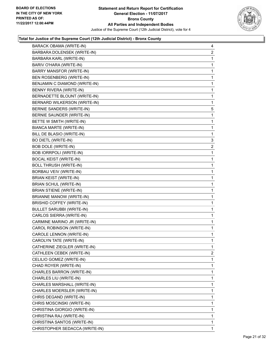

| BARACK OBAMA (WRITE-IN)          | 4              |
|----------------------------------|----------------|
| BARBARA DOLENSEK (WRITE-IN)      | $\overline{2}$ |
| BARBARA KARL (WRITE-IN)          | $\mathbf 1$    |
| BARIV O'HARA (WRITE-IN)          | $\mathbf 1$    |
| BARRY MANSFOR (WRITE-IN)         | 1              |
| BEN ROSENBERG (WRITE-IN)         | 1              |
| BENJAMIN C DIAMOND (WRITE-IN)    | 1              |
| BENNY RIVERA (WRITE-IN)          | $\mathbf 1$    |
| BERNADETTE BLOUNT (WRITE-IN)     | 1              |
| BERNARD WILKERSON (WRITE-IN)     | 1              |
| BERNIE SANDERS (WRITE-IN)        | 5              |
| BERNIE SAUNDER (WRITE-IN)        | 1              |
| BETTE W SMITH (WRITE-IN)         | 1              |
| BIANCA MARTE (WRITE-IN)          | $\mathbf 1$    |
| BILL DE BLASIO (WRITE-IN)        | $\mathbf 1$    |
| <b>BO DIETL (WRITE-IN)</b>       | 3              |
| <b>BOB DOLE (WRITE-IN)</b>       | 2              |
| <b>BOB IORRPOLI (WRITE-IN)</b>   | 1              |
| <b>BOCAL KEIST (WRITE-IN)</b>    | $\mathbf{1}$   |
| <b>BOLL THRUSH (WRITE-IN)</b>    | $\mathbf 1$    |
| BORBAU VEIV (WRITE-IN)           | $\mathbf 1$    |
| <b>BRIAN KEIST (WRITE-IN)</b>    | 1              |
| BRIAN SCHUL (WRITE-IN)           | 1              |
| <b>BRIAN STIENE (WRITE-IN)</b>   | 1              |
| <b>BRIANNE MANOW (WRITE-IN)</b>  | 1              |
| <b>BRISHID COFFEY (WRITE-IN)</b> | 1              |
| <b>BULLET SARUBBI (WRITE-IN)</b> | 1              |
| CARLOS SIERRA (WRITE-IN)         | 1              |
| CARMINE MARINO JR (WRITE-IN)     | $\mathbf{1}$   |
| CAROL ROBINSON (WRITE-IN)        | 1              |
| CAROLE LENNON (WRITE-IN)         | 1              |
| CAROLYN TATE (WRITE-IN)          | 1              |
| CATHERINE ZIEGLER (WRITE-IN)     | 1              |
| CATHLEEN CEBEK (WRITE-IN)        | $\overline{2}$ |
| CELILIO GOMEZ (WRITE-IN)         | 1              |
| CHAD ROYER (WRITE-IN)            | $\mathbf{1}$   |
| CHARLES BARRON (WRITE-IN)        | 1              |
| CHARLES LIU (WRITE-IN)           | 1              |
| CHARLES MARSHALL (WRITE-IN)      | 1              |
| CHARLES MOERSLER (WRITE-IN)      | 1              |
| CHRIS DEGAND (WRITE-IN)          | 1              |
| CHRIS MOSCINSKI (WRITE-IN)       | $\mathbf{1}$   |
| CHRISTINA GIORGIO (WRITE-IN)     | 1              |
| CHRISTINA RAJ (WRITE-IN)         | 1              |
| CHRISTINA SANTOS (WRITE-IN)      | 1              |
| CHRISTOPHER SEDACCA (WRITE-IN)   | 1              |
|                                  |                |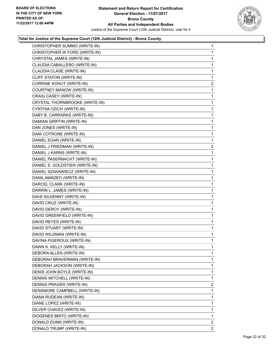

| CHRISTOPHER SUMMO (WRITE-IN)    | $\mathbf{1}$ |
|---------------------------------|--------------|
| CHRISTOPHER W FORD (WRITE-IN)   | $\mathbf{1}$ |
| CHRYSTAL JAMES (WRITE-IN)       | 1            |
| CLAUDIA CABALLERO (WRITE-IN)    | 1            |
| CLAUDIA CLASE (WRITE-IN)        | 1            |
| CLIFF STATON (WRITE-IN)         | 1            |
| <b>CORRINE KOHUT (WRITE-IN)</b> | 2            |
| COURTNEY MANOW (WRITE-IN)       | 1            |
| CRAIG CASEY (WRITE-IN)          | 1            |
| CRYSTAL THORNBROOKE (WRITE-IN)  | 1            |
| CYNTHIA OZICH (WRITE-IN)        | 1            |
| DABY B. CARRARAS (WRITE-IN)     | 1            |
| DAMIAN GRIFFIN (WRITE-IN)       | 1            |
| DAN JONES (WRITE-IN)            | 1            |
| DANI COTRONE (WRITE-IN)         | 1            |
| DANIEL EGAN (WRITE-IN)          | 1            |
| DANIEL J FRIEDMAN (WRITE-IN)    | $\mathbf{2}$ |
| DANIEL J KARNS (WRITE-IN)       | 1            |
| DANIEL PASERNACHT (WRITE-IN)    | 1            |
| DANIEL S. GOLDSTIEN (WRITE-IN)  | 1            |
| DANIEL SZAKAWIECZ (WRITE-IN)    | 1            |
| DANIL AMADEO (WRITE-IN)         | 1            |
| DARCEL CLARK (WRITE-IN)         | 1            |
| DARRIN L. JAMES (WRITE-IN)      | 1            |
| DAVE KILKENNY (WRITE-IN)        | 1            |
| DAVID CRUZ (WRITE-IN)           | 1            |
| DAVID DEROY (WRITE-IN)          | 1            |
| DAVID GREENFIELD (WRITE-IN)     | 1            |
| DAVID REYES (WRITE-IN)          | 1            |
| DAVID STUART (WRITE-IN)         | $\mathbf 1$  |
| DAVID WILDMAN (WRITE-IN)        | 1            |
| DAVINA FIGEROUX (WRITE-IN)      | 1            |
| DAWN K. KELLY (WRITE-IN)        | 1            |
| DEBORA ALLEN (WRITE-IN)         | 1            |
| DEBORAH BRAVERMAN (WRITE-IN)    | 1            |
| DEBORAH JACKSON (WRITE-IN)      | 1            |
| DENIS JOHN BOYLE (WRITE-IN)     | 1            |
| DENNIS MITCHELL (WRITE-IN)      | 1            |
| DENNIS PRAGER (WRITE-IN)        | 2            |
| DENSMORE CAMPBELL (WRITE-IN)    | 1            |
| DIANA RUDEAN (WRITE-IN)         | 1            |
| DIANE LOPEZ (WRITE-IN)          | 1            |
| DILVER CHAVEZ (WRITE-IN)        | 1            |
| DIOGENES BRITO (WRITE-IN)       | 1            |
| DONALD DUNN (WRITE-IN)          | $\mathbf{2}$ |
| DONALD TRUMP (WRITE-IN)         | 2            |
|                                 |              |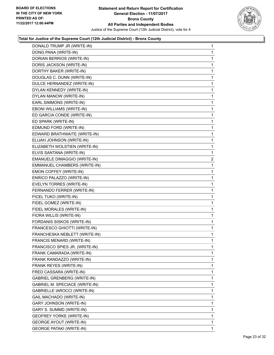

| DONALD TRUMP JR (WRITE-IN)      | 1              |
|---------------------------------|----------------|
| DONG PANA (WRITE-IN)            | 1              |
| DORIAN BERRIOS (WRITE-IN)       | 1              |
| DORIS JACKSON (WRITE-IN)        | 1              |
| DORTHY BAKER (WRITE-IN)         | 1              |
| DOUGLAS C. DUNN (WRITE-IN)      | 1              |
| DULCE HERNANDEZ (WRITE-IN)      | 1              |
| DYLAN KENNEDY (WRITE-IN)        | 1              |
| DYLAN MANOW (WRITE-IN)          | 1              |
| EARL SIMMONS (WRITE-IN)         | 1              |
| EBONI WILLIAMS (WRITE-IN)       | 1              |
| ED GARCIA CONDE (WRITE-IN)      | 1              |
| ED SPARK (WRITE-IN)             | 1              |
| EDMUND FORD (WRITE-IN)          | 1              |
| EDWARD BRATHWAITE (WRITE-IN)    | 1              |
| ELIJAH JOHNSON (WRITE-IN)       | 1              |
| ELIZABETH WOLSTIEN (WRITE-IN)   | 1              |
| ELVIS SANTANA (WRITE-IN)        | 1              |
| EMANUELE DIMAGGIO (WRITE-IN)    | $\overline{a}$ |
| EMMANUEL CHAMBERS (WRITE-IN)    | 1              |
| EMON COFFEY (WRITE-IN)          | 1              |
| ENRICO PALAZZO (WRITE-IN)       | $\mathbf{1}$   |
| EVELYN TORRES (WRITE-IN)        | 1              |
| FERNANDO FERRER (WRITE-IN)      | 1              |
| FICEL TUKO (WRITE-IN)           | 1              |
| FIDEL GOMEZ (WRITE-IN)          | 1              |
| FIDEL MORALES (WRITE-IN)        | 1              |
| FIORA WILLIS (WRITE-IN)         | $\mathbf{1}$   |
| FORDANIS SISKOS (WRITE-IN)      | 1              |
| FRANCESCO GHIOTTI (WRITE-IN)    | 1              |
| FRANCHESKA NEBLETT (WRITE-IN)   | 1              |
| FRANCIS MENARD (WRITE-IN)       | 1              |
| FRANCISCO SPIES JR. (WRITE-IN)  | 1              |
| FRANK CAMARADA (WRITE-IN)       | 1              |
| FRANK RANDAZZO (WRITE-IN)       | 1              |
| FRANK REYES (WRITE-IN)          | 1              |
| FRED CASSARA (WRITE-IN)         | 1              |
| GABRIEL GRENBERG (WRITE-IN)     | 1              |
| GABRIEL M. SPECIACE (WRITE-IN)  | 1              |
| GABRIELLE IAROCCI (WRITE-IN)    | 1              |
| GAIL MACHADO (WRITE-IN)         | 1              |
| GARY JOHNSON (WRITE-IN)         | 1              |
| GARY S. SUMMD (WRITE-IN)        | 1              |
| <b>GEOFREY YORKE (WRITE-IN)</b> | 1              |
| <b>GEORGE AYOUT (WRITE-IN)</b>  | 1              |
| <b>GEORGE PATAKI (WRITE-IN)</b> | 1              |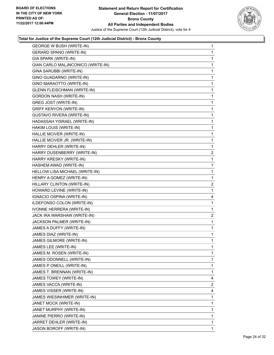

| <b>GEORGE W BUSH (WRITE-IN)</b>    | 1            |
|------------------------------------|--------------|
| <b>GERARD SPANO (WRITE-IN)</b>     | 1            |
| GIA SPARK (WRITE-IN)               | 1            |
| GIAN CARLO MALJNCONICO (WRITE-IN)  | 1            |
| GINA SARUBBI (WRITE-IN)            | 1            |
| GINO GUADARNO (WRITE-IN)           | 1            |
| GINO MARAOTTO (WRITE-IN)           | 1            |
| <b>GLENN FLEISCHMAN (WRITE-IN)</b> | 1            |
| <b>GORDON NASH (WRITE-IN)</b>      | 1            |
| <b>GREG JOST (WRITE-IN)</b>        | 1            |
| <b>GRIFF KENYON (WRITE-IN)</b>     | 1            |
| <b>GUSTAVO RIVERA (WRITE-IN)</b>   | 1            |
| HADASSAH YISRAEL (WRITE-IN)        | 1            |
| HAKIM LOUIS (WRITE-IN)             | 1            |
| HALLIE MCIVER (WRITE-IN)           | 1            |
| HALLIE MCIVER JR. (WRITE-IN)       | 1            |
| HARRY DEHLER (WRITE-IN)            | 1            |
| HARRY DUSENBERRY (WRITE-IN)        | $\mathbf{2}$ |
| HARRY KRESKY (WRITE-IN)            | 1            |
| HASHEM AWAD (WRITE-IN)             | 1            |
| HELLOW LISA MICHAEL (WRITE-IN)     | 1            |
| HENRY A GOMEZ (WRITE-IN)           | 1            |
| HILLARY CLINTON (WRITE-IN)         | 2            |
| HOWARD LEVINE (WRITE-IN)           | 1            |
| IGNACIO OSPINA (WRITE-IN)          | 4            |
| ILDEFONSO COLON (WRITE-IN)         | 1            |
| <b>IVONNE HERRERA (WRITE-IN)</b>   | 1            |
| JACK IRA WARSHAW (WRITE-IN)        | 2            |
| JACKSON PALMER (WRITE-IN)          | 1            |
| JAMES A DUFFY (WRITE-IN)           | 1            |
| JAMES DIAZ (WRITE-IN)              | 1            |
| JAMES GILMORE (WRITE-IN)           | 1            |
| JAMES LEE (WRITE-IN)               | 1            |
| JAMES M. ROSEN (WRITE-IN)          | 1            |
| JAMES ODONNELL (WRITE-IN)          | 1            |
| JAMES P ONEILL (WRITE-IN)          | 1            |
| JAMES T. BRENNAN (WRITE-IN)        | 1            |
| JAMES TOWEY (WRITE-IN)             | 4            |
| JAMES VACCA (WRITE-IN)             | $\mathbf{2}$ |
| JAMES VISSER (WRITE-IN)            | 4            |
| JAMES WIESINHIMER (WRITE-IN)       | 1            |
| JANET MOCK (WRITE-IN)              | 1            |
| JANET MURPHY (WRITE-IN)            | 1            |
| JANINE PIERRO (WRITE-IN)           | 1            |
| JARRET DEHLER (WRITE-IN)           | 1            |
| JASON BOROFF (WRITE-IN)            | 1            |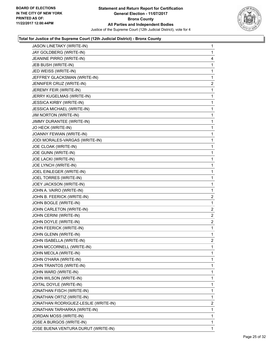

| JASON LINETAKY (WRITE-IN)            | 1                       |
|--------------------------------------|-------------------------|
| JAY GOLDBERG (WRITE-IN)              | 1                       |
| JEANINE PIRRO (WRITE-IN)             | 4                       |
| JEB BUSH (WRITE-IN)                  | 1                       |
| JED WEISS (WRITE-IN)                 | 1                       |
| JEFFREY GLACKSMAN (WRITE-IN)         | 1                       |
| JENNIFER CRUZ (WRITE-IN)             | $\mathbf{2}$            |
| JEREMY FEIR (WRITE-IN)               | 1                       |
| JERRY KUGELMAS (WRITE-IN)            | 1                       |
| <b>JESSICA KIRBY (WRITE-IN)</b>      | 1                       |
| JESSICA MICHAEL (WRITE-IN)           | 1                       |
| JIM NORTON (WRITE-IN)                | 1                       |
| JIMMY DURANTEE (WRITE-IN)            | 1                       |
| JO HECK (WRITE-IN)                   | 1                       |
| JOANNY FEWIAN (WRITE-IN)             | 1                       |
| JODI MORALES-VARGAS (WRITE-IN)       | 1                       |
| JOE CLOAK (WRITE-IN)                 | 1                       |
| JOE GUNN (WRITE-IN)                  | 1                       |
| JOE LACKI (WRITE-IN)                 | 1                       |
| JOE LYNCH (WRITE-IN)                 | 1                       |
| JOEL EINLEGER (WRITE-IN)             | 1                       |
| JOEL TORRES (WRITE-IN)               | 1                       |
| JOEY JACKSON (WRITE-IN)              | 1                       |
| JOHN A. VAIRO (WRITE-IN)             | 1                       |
| JOHN B. FEERICK (WRITE-IN)           | $\overline{\mathbf{c}}$ |
| JOHN BOGLE (WRITE-IN)                | 1                       |
| JOHN CARLETON (WRITE-IN)             | 2                       |
| JOHN CERINI (WRITE-IN)               | $\overline{\mathbf{c}}$ |
| JOHN DOYLE (WRITE-IN)                | 2                       |
| JOHN FEERICK (WRITE-IN)              | 1                       |
| JOHN GLENN (WRITE-IN)                | 1                       |
| JOHN ISABELLA (WRITE-IN)             | $\overline{2}$          |
| JOHN MCCORNELL (WRITE-IN)            | 1                       |
| JOHN MEOLA (WRITE-IN)                | 1                       |
| JOHN O'HARA (WRITE-IN)               | 1                       |
| JOHN TRANTOS (WRITE-IN)              | 1                       |
| JOHN WARD (WRITE-IN)                 | 1                       |
| JOHN WILSON (WRITE-IN)               | 1                       |
| JOITAL DOYLE (WRITE-IN)              | 1                       |
| JONATHAN FISCH (WRITE-IN)            | 1                       |
| JONATHAN ORTIZ (WRITE-IN)            | 1                       |
| JONATHAN RODRIGUEZ-LESLIE (WRITE-IN) | 2                       |
| JONATHAN TARHARKA (WRITE-IN)         | 1                       |
| JORDAN MOSS (WRITE-IN)               | 1                       |
| JOSE A BURGOS (WRITE-IN)             | 1                       |
| JOSE BUENA VENTURA DURUT (WRITE-IN)  | 1                       |
|                                      |                         |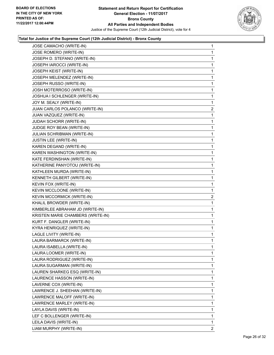

| JOSE CAMACHO (WRITE-IN)           | $\mathbf 1$    |
|-----------------------------------|----------------|
| JOSE ROMERO (WRITE-IN)            | $\mathbf{1}$   |
| JOSEPH D. STEFANO (WRITE-IN)      | 1              |
| JOSEPH IAROCCI (WRITE-IN)         | 1              |
| JOSEPH KEIST (WRITE-IN)           | 1              |
| JOSEPH MELENDEZ (WRITE-IN)        | 1              |
| JOSEPH RUSSO (WRITE-IN)           | 1              |
| JOSH MOTERROSO (WRITE-IN)         | 1              |
| JOSHUA I SCHLENGER (WRITE-IN)     | $\mathbf 1$    |
| JOY M. SEALY (WRITE-IN)           | 1              |
| JUAN CARLOS POLANCO (WRITE-IN)    | 2              |
| JUAN VAZQUEZ (WRITE-IN)           | 1              |
| JUDAH SCHORR (WRITE-IN)           | $\mathbf{1}$   |
| JUDGE ROY BEAN (WRITE-IN)         | 1              |
| JULIAN SCHRIBMAN (WRITE-IN)       | 1              |
| JUSTIN LEE (WRITE-IN)             | 1              |
| KAREN DEGAND (WRITE-IN)           | 1              |
| KAREN WASHINGTON (WRITE-IN)       | 1              |
| KATE FERDINSHAN (WRITE-IN)        | 1              |
| KATHERINE PANYOTOU (WRITE-IN)     | 1              |
| KATHLEEN MURDA (WRITE-IN)         | $\mathbf 1$    |
| KENNETH GILBERT (WRITE-IN)        | 1              |
| KEVIN FOX (WRITE-IN)              | 1              |
| KEVIN MCCLOONE (WRITE-IN)         | $\mathbf 1$    |
| KEVIN MCCORMICK (WRITE-IN)        | 2              |
| KHALIL BROWDER (WRITE-IN)         | 1              |
| KIMBERLEE ABRAHAM JD (WRITE-IN)   | 1              |
| KRISTEN MARIE CHAMBERS (WRITE-IN) | 1              |
| KURT F. DANGLER (WRITE-IN)        | 1              |
| KYRA HENRIQUEZ (WRITE-IN)         | $\mathbf 1$    |
| LAGLE LIVITY (WRITE-IN)           | 1              |
| LAURA BARMARCK (WRITE-IN)         | 1              |
| LAURA ISABELLA (WRITE-IN)         | 1              |
| LAURA LOOMER (WRITE-IN)           | 1              |
| LAURA RODRIGUEZ (WRITE-IN)        | 1              |
| LAURA SUGARMAN (WRITE-IN)         | 1              |
| LAUREN SHARKEG ESQ (WRITE-IN)     | 1              |
| LAURENCE HASSON (WRITE-IN)        | 1              |
| LAVERNE COX (WRITE-IN)            | 1              |
| LAWRENCE J. SHEEHAN (WRITE-IN)    | 1              |
| LAWRENCE MALOFF (WRITE-IN)        | 1              |
| LAWRENCE MARLEY (WRITE-IN)        | 1              |
| LAYLA DAVIS (WRITE-IN)            | 1              |
| LEF C BOLLENGER (WRITE-IN)        | 1              |
| LEILA DAVIS (WRITE-IN)            | 1              |
| LIAM MURPHY (WRITE-IN)            |                |
|                                   | $\overline{2}$ |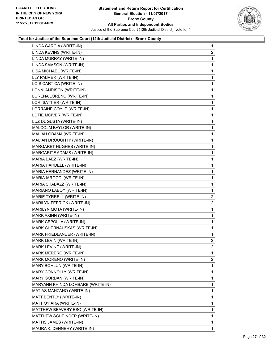

| LINDA GARCIA (WRITE-IN)           | $\mathbf{1}$   |
|-----------------------------------|----------------|
| LINDA KEVINS (WRITE-IN)           | 2              |
| LINDA MURRAY (WRITE-IN)           | 1              |
| LINDA SAMSON (WRITE-IN)           | 1              |
| LISA MICHAEL (WRITE-IN)           | 1              |
| LLY PALMER (WRITE-IN)             | 1              |
| LOIS CARTICA (WRITE-IN)           | 1              |
| LONNI ANDISON (WRITE-IN)          | 1              |
| LORENA LORENO (WRITE-IN)          | 1              |
| LORI SATTIER (WRITE-IN)           | 1              |
| LORRAINE COYLE (WRITE-IN)         | 1              |
| LOTIE MCIVER (WRITE-IN)           | 1              |
| LUZ DUGUSTA (WRITE-IN)            | 1              |
| MALCOLM BAYLOR (WRITE-IN)         | 1              |
| MALIAH OBAMA (WRITE-IN)           | 1              |
| MALIAN DROUGHTY (WRITE-IN)        | 1              |
| MARGARET HUGHES (WRITE-IN)        | 1              |
| MARGARITE ADAMS (WRITE-IN)        | 1              |
| MARIA BAEZ (WRITE-IN)             | 1              |
| MARIA HARDELL (WRITE-IN)          | 1              |
| MARIA HERNANDEZ (WRITE-IN)        | 1              |
| MARIA IAROCCI (WRITE-IN)          | 1              |
| MARIA SHABAZZ (WRITE-IN)          | 1              |
| MARIANO LABOY (WRITE-IN)          | 1              |
| MARIE TYRRELL (WRITE-IN)          | $\mathbf{2}$   |
| MARILYN FEERICK (WRITE-IN)        | $\mathbf{2}$   |
| MARILYN MOTA (WRITE-IN)           | 1              |
| MARK AXINN (WRITE-IN)             | 1              |
| MARK CEPOLLA (WRITE-IN)           | 1              |
| MARK CHERNAUSKAS (WRITE-IN)       | 1              |
| MARK FRIEDLANDER (WRITE-IN)       | 1              |
| MARK LEVIN (WRITE-IN)             | $\overline{2}$ |
| MARK LEVINE (WRITE-IN)            | 2              |
| MARK MERERO (WRITE-IN)            | 1              |
| MARK MORENO (WRITE-IN)            | 2              |
| MARY BOHLUN (WRITE-IN)            | 1              |
| MARY CONNOLLY (WRITE-IN)          | 1              |
| MARY GORDAN (WRITE-IN)            | 1              |
| MARYANN KHINDA LOMBARB (WRITE-IN) | 1              |
| MATIAS MANZANO (WRITE-IN)         | 1              |
| MATT BENTLY (WRITE-IN)            | 1              |
| MATT O'HARA (WRITE-IN)            | 1              |
| MATTHEW BEAVERY ESQ (WRITE-IN)    | 1              |
| MATTHEW SCHEINDER (WRITE-IN)      | 1              |
| MATTIS JAMES (WRITE-IN)           | 1              |
| MAURA K. DENNEHY (WRITE-IN)       | $\mathbf 1$    |
|                                   |                |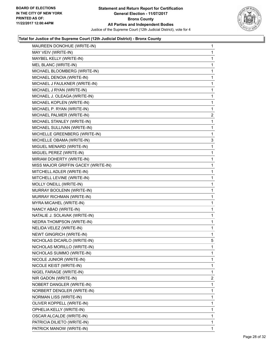

| MAUREEN DONOHUE (WRITE-IN)          | $\mathbf{1}$ |
|-------------------------------------|--------------|
| MAY VEIV (WRITE-IN)                 | 1            |
| MAYBEL KELLY (WRITE-IN)             | 1            |
| MEL BLANC (WRITE-IN)                | 1            |
| MICHAEL BLOOMBERG (WRITE-IN)        | 1            |
| MICHAEL DENOIA (WRITE-IN)           | 1            |
| MICHAEL J FAULKNER (WRITE-IN)       | 1            |
| MICHAEL J RYAN (WRITE-IN)           | 1            |
| MICHAEL J. OLEAGA (WRITE-IN)        | 1            |
| MICHAEL KOPLEN (WRITE-IN)           | 1            |
| MICHAEL P. RYAN (WRITE-IN)          | 1            |
| MICHAEL PALMER (WRITE-IN)           | $\mathbf{2}$ |
| MICHAEL STANLEY (WRITE-IN)          | 1            |
| MICHAEL SULLIVAN (WRITE-IN)         | 1            |
| MICHELLE GREENBERG (WRITE-IN)       | 1            |
| MICHELLE OBAMA (WRITE-IN)           | 3            |
| MIGUEL MENARD (WRITE-IN)            | 1            |
| MIGUEL PEREZ (WRITE-IN)             | 1            |
| MIRIAM DOHERTY (WRITE-IN)           | 1            |
| MISS MAJOR GRIFFIN GACEY (WRITE-IN) | 1            |
| MITCHELL ADLER (WRITE-IN)           | 1            |
| MITCHELL LEVINE (WRITE-IN)          | 1            |
| MOLLY ONEILL (WRITE-IN)             | 1            |
| MURRAY BOOLENN (WRITE-IN)           | 1            |
| MURRAY RICHMAN (WRITE-IN)           | 1            |
| MYRA MICAHEL (WRITE-IN)             | 1            |
| NANCY ABAD (WRITE-IN)               | 1            |
| NATALIE J. SOLAVAK (WRITE-IN)       | 1            |
| NEDRA THOMPSON (WRITE-IN)           | 1            |
| NELIDA VELEZ (WRITE-IN)             | 1            |
| <b>NEWT GINGRICH (WRITE-IN)</b>     | 1            |
| NICHOLAS DICARLO (WRITE-IN)         | 5            |
| NICHOLAS MORILLO (WRITE-IN)         | 1            |
| NICHOLAS SUMMO (WRITE-IN)           | 1            |
| NICOLE JUNIOR (WRITE-IN)            | 1            |
| NICOLE KEIST (WRITE-IN)             | 1            |
| NIGEL FARAGE (WRITE-IN)             | 1            |
| NIR GADON (WRITE-IN)                | 2            |
| NOBERT DANGLER (WRITE-IN)           | 1            |
| NORBERT DENGLER (WRITE-IN)          | 1            |
| <b>NORMAN LISS (WRITE-IN)</b>       | 1            |
| OLIVER KOPPELL (WRITE-IN)           | 1            |
| OPHELIA KELLY (WRITE-IN)            | 1            |
| OSCAR ALCALDE (WRITE-IN)            | 1            |
|                                     |              |
| PATRICIA DILIETO (WRITE-IN)         | 1            |
| PATRICK MANOW (WRITE-IN)            | 1            |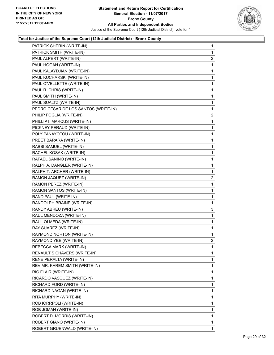

| PATRICK SHERIN (WRITE-IN)            | 1              |
|--------------------------------------|----------------|
| PATRICK SMITH (WRITE-IN)             | 1              |
| PAUL ALPERT (WRITE-IN)               | 2              |
| PAUL HOGAN (WRITE-IN)                | 1              |
| PAUL KALAYDJIAN (WRITE-IN)           | 1              |
| PAUL KUCHARSKI (WRITE-IN)            | 1              |
| PAUL O'VELLETTE (WRITE-IN)           | 1              |
| PAUL R. CHRIS (WRITE-IN)             | 1              |
| PAUL SMITH (WRITE-IN)                | 1              |
| PAUL SUALTZ (WRITE-IN)               | 1              |
| PEDRO CESAR DE LOS SANTOS (WRITE-IN) | 1              |
| PHILIP FOGLIA (WRITE-IN)             | 2              |
| PHILLIP I. MARCUS (WRITE-IN)         | 1              |
| PICKNEY PERAUD (WRITE-IN)            | 1              |
| POLY PANAYOTOU (WRITE-IN)            | 1              |
| PREET BARARA (WRITE-IN)              | 1              |
| RABBI SAMUEL (WRITE-IN)              | 1              |
| RACHEL KOSAK (WRITE-IN)              | 1              |
| RAFAEL SANINO (WRITE-IN)             | 1              |
| RALPH A. DANGLER (WRITE-IN)          | 1              |
| RALPH T. ARCHER (WRITE-IN)           | 1              |
| RAMON JAQUEZ (WRITE-IN)              | $\overline{c}$ |
| RAMON PEREZ (WRITE-IN)               | 1              |
| RAMON SANTOS (WRITE-IN)              | 1              |
| RAND PAUL (WRITE-IN)                 | 1              |
| RANDOLPH BRAINE (WRITE-IN)           | 1              |
| RANDY ABREU (WRITE-IN)               | 3              |
| RAUL MENDOZA (WRITE-IN)              | 1              |
| RAUL OLMEDA (WRITE-IN)               | 1              |
| RAY SUAREZ (WRITE-IN)                | 1              |
| RAYMOND NORTON (WRITE-IN)            | 1              |
| RAYMOND YEE (WRITE-IN)               | $\overline{2}$ |
| REBECCA MARK (WRITE-IN)              | 1              |
| RENAULT S CHAVERS (WRITE-IN)         | 1              |
| RENE PERALTA (WRITE-IN)              | 1              |
| REV MR. KAREM SMITH (WRITE-IN)       | 1              |
| RIC FLAIR (WRITE-IN)                 | 1              |
| RICARDO VASQUEZ (WRITE-IN)           | 1              |
| RICHARD FORD (WRITE-IN)              | 1              |
| RICHARD NAGAN (WRITE-IN)             | 1              |
| RITA MURPHY (WRITE-IN)               | 1              |
| ROB IORRPOLI (WRITE-IN)              | 1              |
| ROB JOMAN (WRITE-IN)                 | 1              |
| ROBERT D. MORRIS (WRITE-IN)          | 1              |
| ROBERT GIANO (WRITE-IN)              | 1              |
| ROBERT GRUENWALD (WRITE-IN)          | 1              |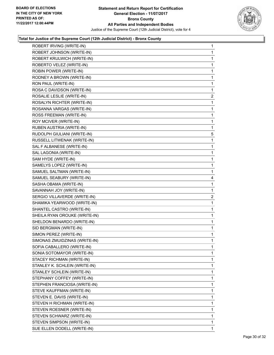

| ROBERT IRVING (WRITE-IN)      | $\mathbf{1}$ |
|-------------------------------|--------------|
| ROBERT JOHNSON (WRITE-IN)     | 1            |
| ROBERT KRULWICH (WRITE-IN)    | 1            |
| ROBERTO VELEZ (WRITE-IN)      | $\mathbf 1$  |
| ROBIN POWER (WRITE-IN)        | 1            |
| RODNEY A BROWN (WRITE-IN)     | 1            |
| RON PAUL (WRITE-IN)           | 1            |
| ROSA C DAVIDSON (WRITE-IN)    | 1            |
| ROSALIE LESLIE (WRITE-IN)     | 2            |
| ROSALYN RICHTER (WRITE-IN)    | 1            |
| ROSANNA VARGAS (WRITE-IN)     | 1            |
| ROSS FREEMAN (WRITE-IN)       | 1            |
| ROY MCIVER (WRITE-IN)         | 1            |
| RUBEN AUSTRIA (WRITE-IN)      | 1            |
| RUDOLPH GIULIANI (WRITE-IN)   | 5            |
| RUSSELL LITWENAK (WRITE-IN)   | $\mathbf 1$  |
| SAL F ALBANESE (WRITE-IN)     | 1            |
| SAL LAGONIA (WRITE-IN)        | 1            |
| SAM HYDE (WRITE-IN)           | 1            |
| SAMELYS LOPEZ (WRITE-IN)      | 1            |
| SAMUEL SALTMAN (WRITE-IN)     | 1            |
| SAMUEL SEABURY (WRITE-IN)     | 4            |
| SASHA OBAMA (WRITE-IN)        | 1            |
| SAVANNAH JOY (WRITE-IN)       | 1            |
| SERGIO VILLAVERDE (WRITE-IN)  | 2            |
| SHAMIKA YEARWOOD (WRITE-IN)   | 1            |
| SHANTEL CASTRO (WRITE-IN)     | 1            |
| SHEILA RYAN OROUKE (WRITE-IN) | $\mathbf 1$  |
| SHELDON BENARDO (WRITE-IN)    | 1            |
| SID BERGMAN (WRITE-IN)        | 1            |
| SIMON PEREZ (WRITE-IN)        | 1            |
| SIMONAS ZMUIDZINAS (WRITE-IN) | 1            |
| SOFIA CABALLERO (WRITE-IN)    | 1            |
| SONIA SOTOMAYOR (WRITE-IN)    | 1            |
| STACEY RICHMAN (WRITE-IN)     | 1            |
| STANLEY K. SCHLEIN (WRITE-IN) | 1            |
| STANLEY SCHLEIN (WRITE-IN)    | 1            |
| STEPHANY COFFEY (WRITE-IN)    | 1            |
| STEPHEN FRANCIOSA (WRITE-IN)  | 1            |
| STEVE KAUFFMAN (WRITE-IN)     | 1            |
| STEVEN E. DAVIS (WRITE-IN)    | 1            |
| STEVEN H RICHMAN (WRITE-IN)   | 1            |
| STEVEN ROESNER (WRITE-IN)     | 1            |
| STEVEN SCHWARZ (WRITE-IN)     | 1            |
| STEVEN SIMPSON (WRITE-IN)     | 1            |
| SUE ELLEN DODELL (WRITE-IN)   | $\mathbf{1}$ |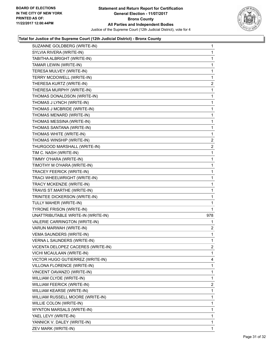

| SUZANNE GOLDBERG (WRITE-IN)        | 1            |
|------------------------------------|--------------|
| SYLVIA RIVERA (WRITE-IN)           | 1            |
| TABITHA ALBRIGHT (WRITE-IN)        | 1            |
| TAMAR LEWIN (WRITE-IN)             | 1            |
| TERESA MULVEY (WRITE-IN)           | 1            |
| TERRY MCDOWELL (WRITE-IN)          | 1            |
| THERESA KURTZ (WRITE-IN)           | 2            |
| THERESA MURPHY (WRITE-IN)          | 1            |
| THOMAS DONALDSON (WRITE-IN)        | 1            |
| THOMAS J LYNCH (WRITE-IN)          | 1            |
| THOMAS J MCBRIDE (WRITE-IN)        | 1            |
| THOMAS MENARD (WRITE-IN)           | 1            |
| THOMAS MESSINA (WRITE-IN)          | 1            |
| THOMAS SANTANA (WRITE-IN)          | 1            |
| THOMAS WHITE (WRITE-IN)            | 1            |
| THOMAS WINSHIP (WRITE-IN)          | 2            |
| THURGOOD MARSHALL (WRITE-IN)       | 2            |
| TIM C. NASH (WRITE-IN)             | 1            |
| TIMMY O'HARA (WRITE-IN)            | 1            |
| TIMOTHY M O'HARA (WRITE-IN)        | 1            |
| TRACEY FEERICK (WRITE-IN)          | 1            |
| TRACI WHEELWRIGHT (WRITE-IN)       | 1            |
| TRACY MCKENZIE (WRITE-IN)          | 1            |
| TRAVIS ST.MARTHE (WRITE-IN)        | 1            |
| TRINITEE DICKERSON (WRITE-IN)      | 1            |
| TULLY MAHER (WRITE-IN)             | 1            |
| <b>TYRONE FRISON (WRITE-IN)</b>    | 1            |
| UNATTRIBUTABLE WRITE-IN (WRITE-IN) | 978          |
| VALERIE CARRINGTON (WRITE-IN)      | 1            |
| VARUN MARWAH (WRITE-IN)            | $\mathbf{2}$ |
| <b>VEMA SAUNDERS (WRITE-IN)</b>    | 1            |
| VERNA L SAUNDERS (WRITE-IN)        | 1            |
| VICENTA DELOPEZ CACERES (WRITE-IN) | 2            |
| VICHI MCAULAAN (WRITE-IN)          | 1            |
| VICTOR HUGO GUTIERREZ (WRITE-IN)   | 4            |
| VILLONA FLORENCE (WRITE-IN)        | 1            |
| VINCENT OAVANZO (WRITE-IN)         | 1            |
| WILLIAM CLYDE (WRITE-IN)           | 1            |
| WILLIAM FEERICK (WRITE-IN)         | 2            |
| WILLIAM KEARSE (WRITE-IN)          | 1            |
| WILLIAM RUSSELL MOORE (WRITE-IN)   | 1            |
| WILLIE COLON (WRITE-IN)            | 1            |
| WYNTON MARSALS (WRITE-IN)          | 1            |
| YAEL LEVY (WRITE-IN)               | 1            |
| YANNICK V. DALEY (WRITE-IN)        | 1            |
| ZEV MARK (WRITE-IN)                | 1            |